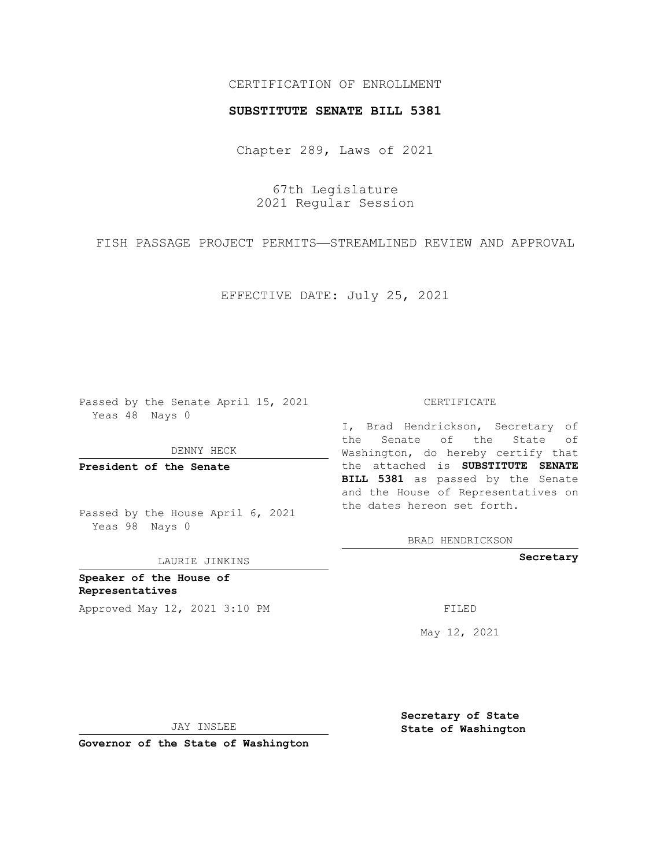# CERTIFICATION OF ENROLLMENT

### **SUBSTITUTE SENATE BILL 5381**

Chapter 289, Laws of 2021

67th Legislature 2021 Regular Session

FISH PASSAGE PROJECT PERMITS—STREAMLINED REVIEW AND APPROVAL

EFFECTIVE DATE: July 25, 2021

Passed by the Senate April 15, 2021 Yeas 48 Nays 0

DENNY HECK

**President of the Senate**

Passed by the House April 6, 2021 Yeas 98 Nays 0

LAURIE JINKINS

**Speaker of the House of Representatives** Approved May 12, 2021 3:10 PM FILED

#### CERTIFICATE

I, Brad Hendrickson, Secretary of the Senate of the State of Washington, do hereby certify that the attached is **SUBSTITUTE SENATE BILL 5381** as passed by the Senate and the House of Representatives on the dates hereon set forth.

BRAD HENDRICKSON

**Secretary**

May 12, 2021

**Secretary of State**

JAY INSLEE

 **State of Washington**

**Governor of the State of Washington**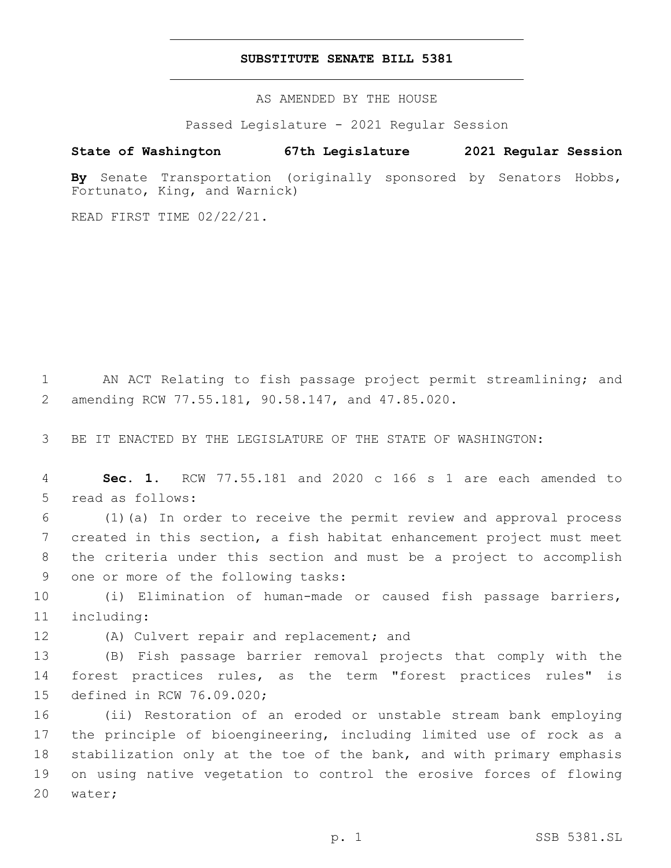### **SUBSTITUTE SENATE BILL 5381**

AS AMENDED BY THE HOUSE

Passed Legislature - 2021 Regular Session

# **State of Washington 67th Legislature 2021 Regular Session**

**By** Senate Transportation (originally sponsored by Senators Hobbs, Fortunato, King, and Warnick)

READ FIRST TIME 02/22/21.

1 AN ACT Relating to fish passage project permit streamlining; and amending RCW 77.55.181, 90.58.147, and 47.85.020.2

3 BE IT ENACTED BY THE LEGISLATURE OF THE STATE OF WASHINGTON:

4 **Sec. 1.** RCW 77.55.181 and 2020 c 166 s 1 are each amended to 5 read as follows:

 (1)(a) In order to receive the permit review and approval process created in this section, a fish habitat enhancement project must meet the criteria under this section and must be a project to accomplish 9 one or more of the following tasks:

10 (i) Elimination of human-made or caused fish passage barriers, 11 including:

12 (A) Culvert repair and replacement; and

13 (B) Fish passage barrier removal projects that comply with the 14 forest practices rules, as the term "forest practices rules" is 15 defined in RCW 76.09.020;

 (ii) Restoration of an eroded or unstable stream bank employing the principle of bioengineering, including limited use of rock as a stabilization only at the toe of the bank, and with primary emphasis on using native vegetation to control the erosive forces of flowing 20 water;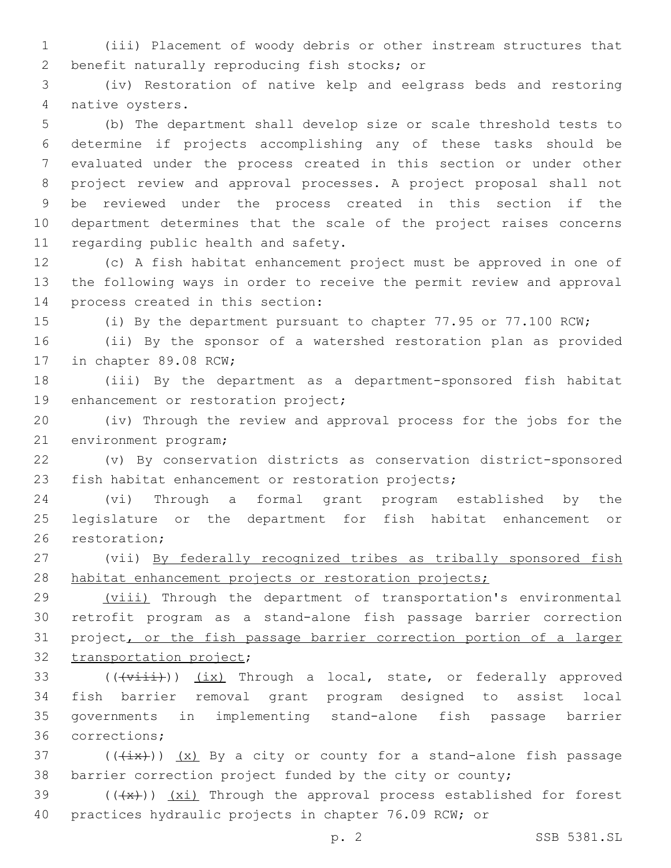1 (iii) Placement of woody debris or other instream structures that 2 benefit naturally reproducing fish stocks; or

3 (iv) Restoration of native kelp and eelgrass beds and restoring 4 native oysters.

 (b) The department shall develop size or scale threshold tests to determine if projects accomplishing any of these tasks should be evaluated under the process created in this section or under other project review and approval processes. A project proposal shall not be reviewed under the process created in this section if the department determines that the scale of the project raises concerns 11 regarding public health and safety.

12 (c) A fish habitat enhancement project must be approved in one of 13 the following ways in order to receive the permit review and approval 14 process created in this section:

15 (i) By the department pursuant to chapter 77.95 or 77.100 RCW;

16 (ii) By the sponsor of a watershed restoration plan as provided 17 in chapter 89.08 RCW;

18 (iii) By the department as a department-sponsored fish habitat 19 enhancement or restoration project;

20 (iv) Through the review and approval process for the jobs for the 21 environment program;

22 (v) By conservation districts as conservation district-sponsored 23 fish habitat enhancement or restoration projects;

24 (vi) Through a formal grant program established by the 25 legislature or the department for fish habitat enhancement or 26 restoration;

27 (vii) By federally recognized tribes as tribally sponsored fish 28 habitat enhancement projects or restoration projects;

29 (viii) Through the department of transportation's environmental 30 retrofit program as a stand-alone fish passage barrier correction 31 project, or the fish passage barrier correction portion of a larger 32 transportation project;

 $((\overline{\text{visit}}))$   $(\underline{\text{ix}})$  Through a local, state, or federally approved fish barrier removal grant program designed to assist local governments in implementing stand-alone fish passage barrier 36 corrections;

37 ( $(\overleftrightarrow{ix})$ )  $(x)$  By a city or county for a stand-alone fish passage 38 barrier correction project funded by the city or county;

39 (((x))) (xi) Through the approval process established for forest 40 practices hydraulic projects in chapter 76.09 RCW; or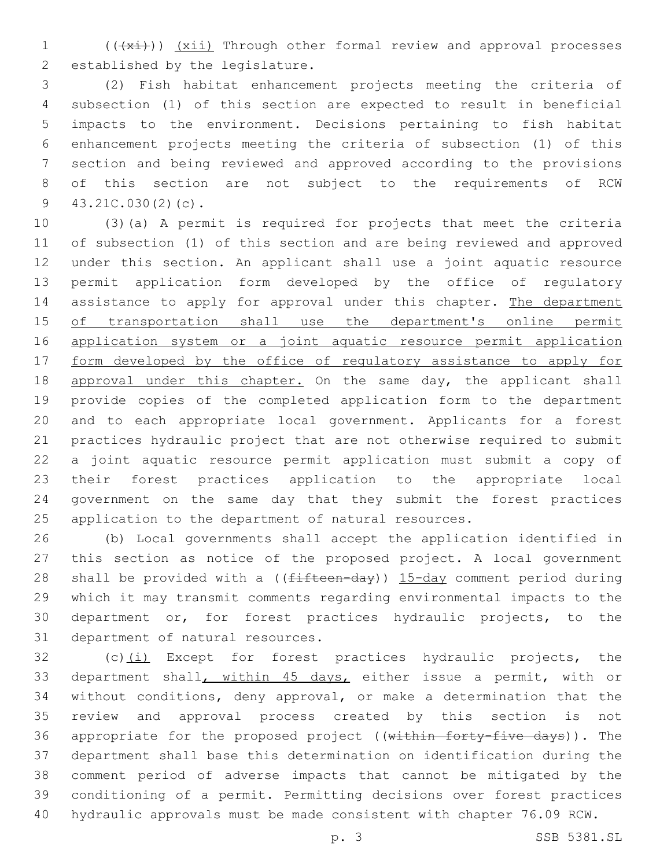1 (( $(x<sub>i</sub>)$ ) (xii) Through other formal review and approval processes 2 established by the legislature.

 (2) Fish habitat enhancement projects meeting the criteria of subsection (1) of this section are expected to result in beneficial impacts to the environment. Decisions pertaining to fish habitat enhancement projects meeting the criteria of subsection (1) of this section and being reviewed and approved according to the provisions of this section are not subject to the requirements of RCW  $43.21C.030(2)(c)$ .

 (3)(a) A permit is required for projects that meet the criteria of subsection (1) of this section and are being reviewed and approved under this section. An applicant shall use a joint aquatic resource permit application form developed by the office of regulatory 14 assistance to apply for approval under this chapter. The department 15 of transportation shall use the department's online permit 16 application system or a joint aquatic resource permit application 17 form developed by the office of regulatory assistance to apply for 18 approval under this chapter. On the same day, the applicant shall provide copies of the completed application form to the department and to each appropriate local government. Applicants for a forest practices hydraulic project that are not otherwise required to submit a joint aquatic resource permit application must submit a copy of their forest practices application to the appropriate local government on the same day that they submit the forest practices application to the department of natural resources.

 (b) Local governments shall accept the application identified in this section as notice of the proposed project. A local government 28 shall be provided with a ((fifteen-day)) 15-day comment period during which it may transmit comments regarding environmental impacts to the department or, for forest practices hydraulic projects, to the 31 department of natural resources.

32 (c)(i) Except for forest practices hydraulic projects, the department shall, within 45 days, either issue a permit, with or without conditions, deny approval, or make a determination that the review and approval process created by this section is not 36 appropriate for the proposed project ((within forty-five days)). The department shall base this determination on identification during the comment period of adverse impacts that cannot be mitigated by the conditioning of a permit. Permitting decisions over forest practices hydraulic approvals must be made consistent with chapter 76.09 RCW.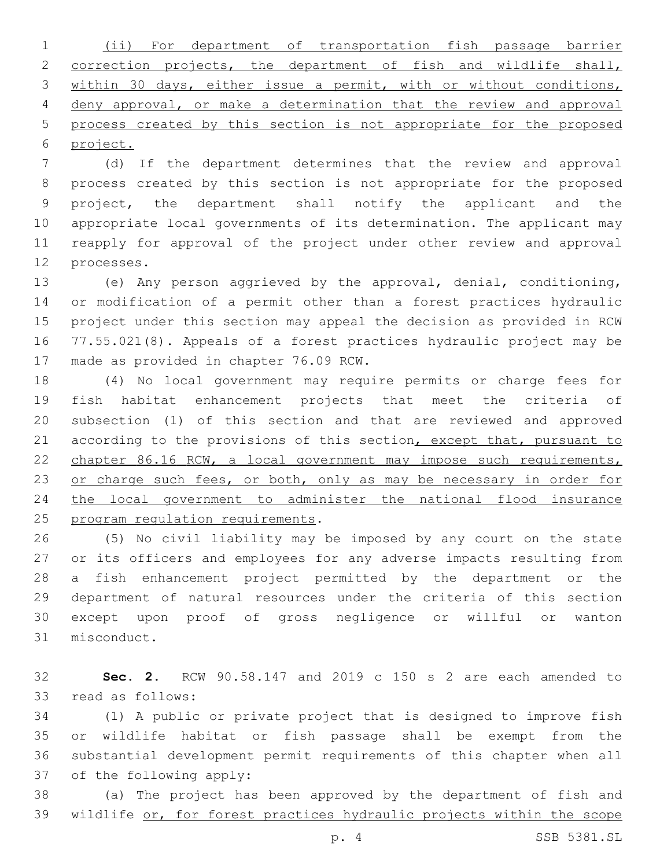(ii) For department of transportation fish passage barrier correction projects, the department of fish and wildlife shall, within 30 days, either issue a permit, with or without conditions, deny approval, or make a determination that the review and approval process created by this section is not appropriate for the proposed project.

 (d) If the department determines that the review and approval process created by this section is not appropriate for the proposed project, the department shall notify the applicant and the appropriate local governments of its determination. The applicant may reapply for approval of the project under other review and approval 12 processes.

 (e) Any person aggrieved by the approval, denial, conditioning, or modification of a permit other than a forest practices hydraulic project under this section may appeal the decision as provided in RCW 77.55.021(8). Appeals of a forest practices hydraulic project may be 17 made as provided in chapter 76.09 RCW.

 (4) No local government may require permits or charge fees for fish habitat enhancement projects that meet the criteria of subsection (1) of this section and that are reviewed and approved 21 according to the provisions of this section, except that, pursuant to 22 chapter 86.16 RCW, a local government may impose such requirements, 23 or charge such fees, or both, only as may be necessary in order for the local government to administer the national flood insurance 25 program regulation requirements.

 (5) No civil liability may be imposed by any court on the state or its officers and employees for any adverse impacts resulting from a fish enhancement project permitted by the department or the department of natural resources under the criteria of this section except upon proof of gross negligence or willful or wanton 31 misconduct.

 **Sec. 2.** RCW 90.58.147 and 2019 c 150 s 2 are each amended to 33 read as follows:

 (1) A public or private project that is designed to improve fish or wildlife habitat or fish passage shall be exempt from the substantial development permit requirements of this chapter when all 37 of the following apply:

 (a) The project has been approved by the department of fish and wildlife or, for forest practices hydraulic projects within the scope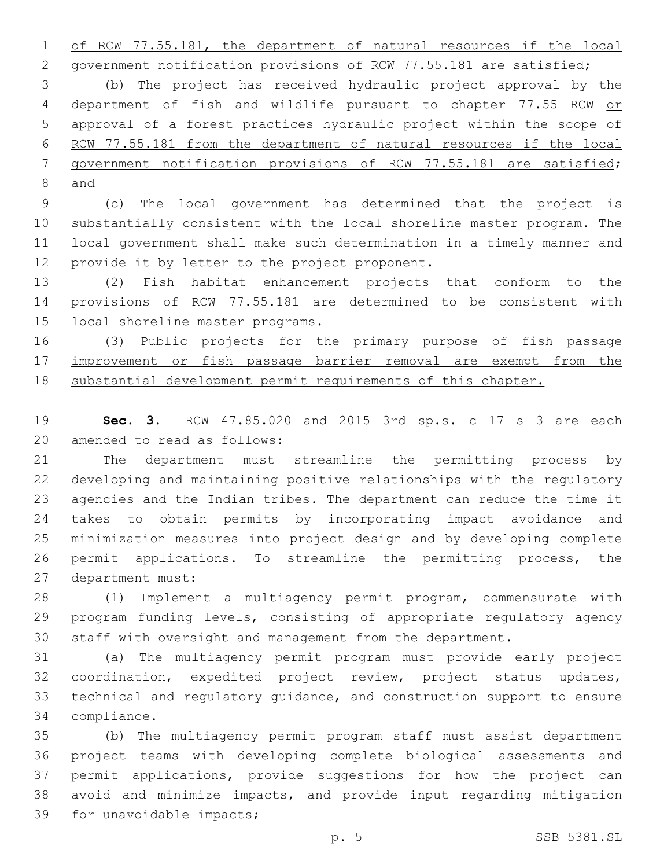of RCW 77.55.181, the department of natural resources if the local

2 government notification provisions of RCW 77.55.181 are satisfied; (b) The project has received hydraulic project approval by the 4 department of fish and wildlife pursuant to chapter 77.55 RCW or approval of a forest practices hydraulic project within the scope of 6 RCW 77.55.181 from the department of natural resources if the local government notification provisions of RCW 77.55.181 are satisfied; 8 and

 (c) The local government has determined that the project is substantially consistent with the local shoreline master program. The local government shall make such determination in a timely manner and 12 provide it by letter to the project proponent.

 (2) Fish habitat enhancement projects that conform to the provisions of RCW 77.55.181 are determined to be consistent with 15 local shoreline master programs.

 (3) Public projects for the primary purpose of fish passage 17 improvement or fish passage barrier removal are exempt from the substantial development permit requirements of this chapter.

 **Sec. 3.** RCW 47.85.020 and 2015 3rd sp.s. c 17 s 3 are each 20 amended to read as follows:

 The department must streamline the permitting process by developing and maintaining positive relationships with the regulatory agencies and the Indian tribes. The department can reduce the time it takes to obtain permits by incorporating impact avoidance and minimization measures into project design and by developing complete permit applications. To streamline the permitting process, the 27 department must:

 (1) Implement a multiagency permit program, commensurate with program funding levels, consisting of appropriate regulatory agency staff with oversight and management from the department.

 (a) The multiagency permit program must provide early project coordination, expedited project review, project status updates, technical and regulatory guidance, and construction support to ensure 34 compliance.

 (b) The multiagency permit program staff must assist department project teams with developing complete biological assessments and permit applications, provide suggestions for how the project can avoid and minimize impacts, and provide input regarding mitigation 39 for unavoidable impacts;